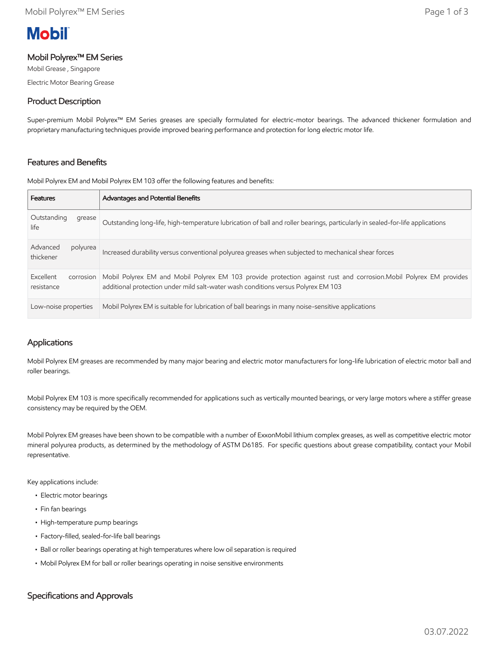# **Mobil**

#### Mobil Polyrex™ EM Series

Mobil Grease , Singapore Electric Motor Bearing Grease

## Product Description

Super-premium Mobil Polyrex™ EM Series greases are specially formulated for electric-motor bearings. The advanced thickener formulation and proprietary manufacturing techniques provide improved bearing performance and protection for long electric motor life.

### Features and Benefits

Mobil Polyrex EM and Mobil Polyrex EM 103 offer the following features and benefits:

| <b>Features</b>                      | <b>Advantages and Potential Benefits</b>                                                                                                                                                                |
|--------------------------------------|---------------------------------------------------------------------------------------------------------------------------------------------------------------------------------------------------------|
| Outstanding<br>grease<br>life        | Outstanding long-life, high-temperature lubrication of ball and roller bearings, particularly in sealed-for-life applications                                                                           |
| Advanced<br>polyurea<br>thickener    | Increased durability versus conventional polyurea greases when subjected to mechanical shear forces                                                                                                     |
| Excellent<br>corrosion<br>resistance | Mobil Polyrex EM and Mobil Polyrex EM 103 provide protection against rust and corrosion. Mobil Polyrex EM provides<br>additional protection under mild salt-water wash conditions versus Polyrex EM 103 |
| Low-noise properties                 | Mobil Polyrex EM is suitable for lubrication of ball bearings in many noise-sensitive applications                                                                                                      |

## Applications

Mobil Polyrex EM greases are recommended by many major bearing and electric motor manufacturers for long-life lubrication of electric motor ball and roller bearings.

Mobil Polyrex EM 103 is more specifically recommended for applications such as vertically mounted bearings, or very large motors where a stiffer grease consistency may be required by the OEM.

Mobil Polyrex EM greases have been shown to be compatible with a number of ExxonMobil lithium complex greases, as well as competitive electric motor mineral polyurea products, as determined by the methodology of ASTM D6185. For specific questions about grease compatibility, contact your Mobil representative.

Key applications include:

- Electric motor bearings
- Fin fan bearings
- High-temperature pump bearings
- Factory-filled, sealed-for-life ball bearings
- Ball or roller bearings operating at high temperatures where low oil separation is required
- Mobil Polyrex EM for ball or roller bearings operating in noise sensitive environments

## Specifications and Approvals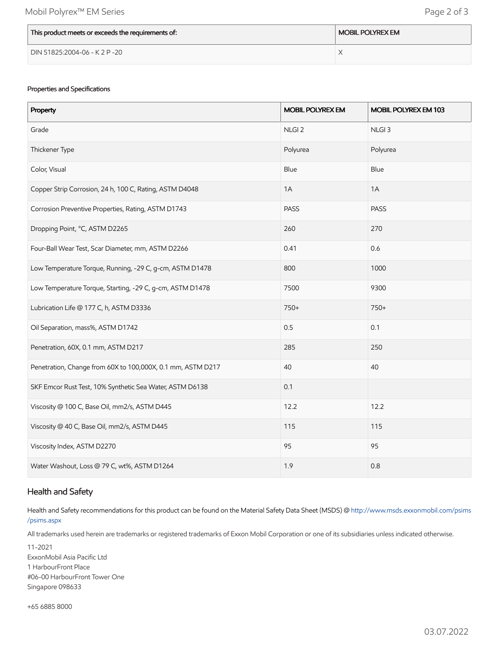| This product meets or exceeds the requirements of: | <b>MOBIL POLYREX EM</b> |
|----------------------------------------------------|-------------------------|
| DIN 51825:2004-06 - K 2 P -20                      |                         |

#### Properties and Specifications

| Property                                                    | <b>MOBIL POLYREX EM</b> | MOBIL POLYREX EM 103 |
|-------------------------------------------------------------|-------------------------|----------------------|
| Grade                                                       | NLGI <sub>2</sub>       | NLGI <sub>3</sub>    |
| Thickener Type                                              | Polyurea                | Polyurea             |
| Color, Visual                                               | Blue                    | Blue                 |
| Copper Strip Corrosion, 24 h, 100 C, Rating, ASTM D4048     | 1A                      | 1A                   |
| Corrosion Preventive Properties, Rating, ASTM D1743         | <b>PASS</b>             | PASS                 |
| Dropping Point, °C, ASTM D2265                              | 260                     | 270                  |
| Four-Ball Wear Test, Scar Diameter, mm, ASTM D2266          | 0.41                    | 0.6                  |
| Low Temperature Torque, Running, -29 C, g-cm, ASTM D1478    | 800                     | 1000                 |
| Low Temperature Torque, Starting, -29 C, g-cm, ASTM D1478   | 7500                    | 9300                 |
| Lubrication Life @ 177 C, h, ASTM D3336                     | 750+                    | 750+                 |
| Oil Separation, mass%, ASTM D1742                           | 0.5                     | 0.1                  |
| Penetration, 60X, 0.1 mm, ASTM D217                         | 285                     | 250                  |
| Penetration, Change from 60X to 100,000X, 0.1 mm, ASTM D217 | 40                      | 40                   |
| SKF Emcor Rust Test, 10% Synthetic Sea Water, ASTM D6138    | 0.1                     |                      |
| Viscosity @ 100 C, Base Oil, mm2/s, ASTM D445               | 12.2                    | 12.2                 |
| Viscosity @ 40 C, Base Oil, mm2/s, ASTM D445                | 115                     | 115                  |
| Viscosity Index, ASTM D2270                                 | 95                      | 95                   |
| Water Washout, Loss @ 79 C, wt%, ASTM D1264                 | 1.9                     | 0.8                  |

## Health and Safety

Health and Safety recommendations for this product can be found on the Material Safety Data Sheet (MSDS) @ [http://www.msds.exxonmobil.com/psims](http://www.msds.exxonmobil.com/psims/psims.aspx) /psims.aspx

All trademarks used herein are trademarks or registered trademarks of Exxon Mobil Corporation or one of its subsidiaries unless indicated otherwise.

11-2021 ExxonMobil Asia Pacific Ltd 1 HarbourFront Place #06-00 HarbourFront Tower One Singapore 098633

+65 6885 8000